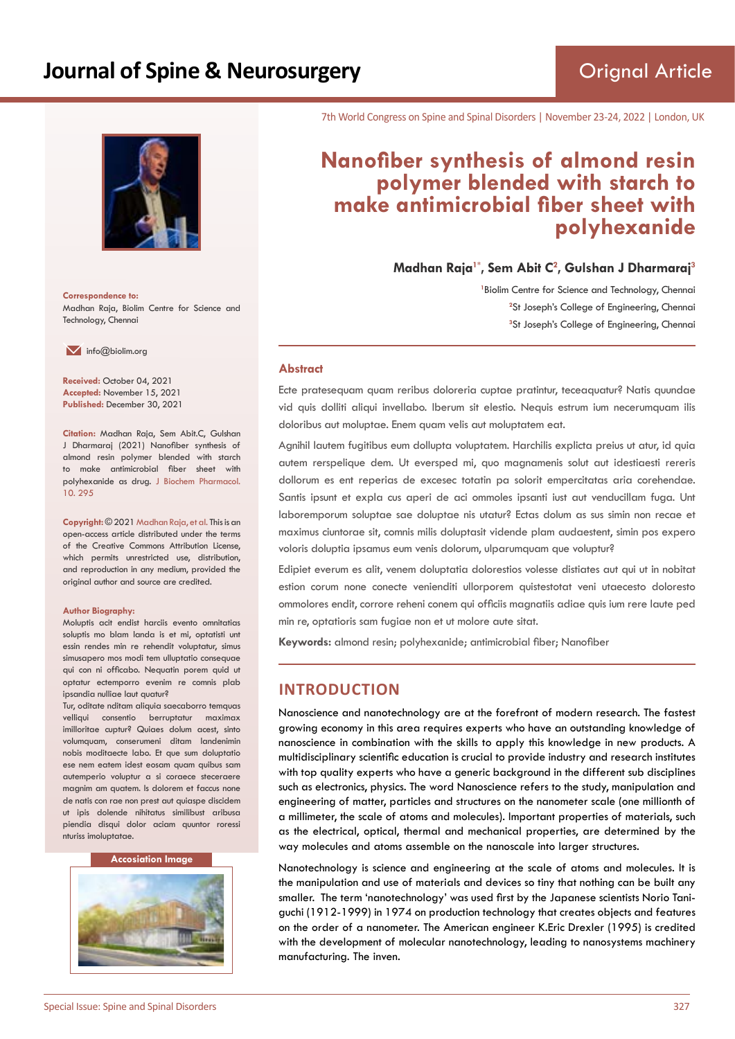

**Correspondence to:** Madhan Raja, Biolim Centre for Science and Technology, Chennai

 $\blacksquare$  info@biolim.org

**Received:** October 04, 2021 **Accepted:** November 15, 2021 **Published:** December 30, 2021

**Citation:** Madhan Raja, Sem Abit.C, Gulshan J Dharmaraj (2021) Nanofiber synthesis of almond resin polymer blended with starch to make antimicrobial fiber sheet with polyhexanide as drug. J Biochem Pharmacol. 10. 295

**Copyright:** © 2021 Madhan Raja, et al. This is an open-access article distributed under the terms of the Creative Commons Attribution License, which permits unrestricted use, distribution, and reproduction in any medium, provided the original author and source are credited.

#### **Author Biography:**

Moluptis acit endist harciis evento omnitatias soluptis mo blam landa is et mi, optatisti unt essin rendes min re rehendit voluptatur, simus simusapero mos modi tem ulluptatio consequae qui con ni officabo. Nequatin porem quid ut optatur ectemporro evenim re comnis plab ipsandia nulliae laut quatur?

Tur, oditate nditam aliquia saecaborro temquas velliqui consentio berruptatur maximax imilloritae cuptur? Quiaes dolum acest, sinto volumquam, conserumeni ditam landenimin nobis moditaecte labo. Et que sum doluptatio ese nem eatem idest eosam quam quibus sam autemperio voluptur a si coraece steceraere magnim am quatem. Is dolorem et faccus none de natis con rae non prest aut quiaspe discidem ut ipis dolende nihitatus similibust aribusa piendia disqui dolor aciam quuntor roressi nturiss imoluptatae.

#### **Accosiation Image**



7th World Congress on Spine and Spinal Disorders | November 23-24, 2022 | London, UK

# **Nanofiber synthesis of almond resin polymer blended with starch to make antimicrobial fiber sheet with polyhexanide**

**Madhan Raja1\*, Sem Abit C<sup>2</sup> , Gulshan J Dharmaraj<sup>3</sup>**

<sup>1</sup> Biolim Centre for Science and Technology, Chennai <sup>2</sup>St Joseph's College of Engineering, Chennai **3** St Joseph's College of Engineering, Chennai

#### **Abstract**

Ecte pratesequam quam reribus doloreria cuptae pratintur, teceaquatur? Natis quundae vid quis dolliti aliqui invellabo. Iberum sit elestio. Nequis estrum ium necerumquam ilis doloribus aut moluptae. Enem quam velis aut moluptatem eat.

Agnihil lautem fugitibus eum dollupta voluptatem. Harchilis explicta preius ut atur, id quia autem rerspelique dem. Ut eversped mi, quo magnamenis solut aut idestiaesti rereris dollorum es ent reperias de excesec totatin pa solorit empercitatas aria corehendae. Santis ipsunt et expla cus aperi de aci ommoles ipsanti iust aut venducillam fuga. Unt laboremporum soluptae sae doluptae nis utatur? Ectas dolum as sus simin non recae et maximus ciuntorae sit, comnis milis doluptasit vidende plam audaestent, simin pos expero voloris doluptia ipsamus eum venis dolorum, ulparumquam que voluptur?

Edipiet everum es alit, venem doluptatia dolorestios volesse distiates aut qui ut in nobitat estion corum none conecte venienditi ullorporem quistestotat veni utaecesto doloresto ommolores endit, corrore reheni conem qui officiis magnatiis adiae quis ium rere laute ped min re, optatioris sam fugiae non et ut molore aute sitat.

**Keywords:** almond resin; polyhexanide; antimicrobial fiber; Nanofiber

### **INTRODUCTION**

Nanoscience and nanotechnology are at the forefront of modern research. The fastest growing economy in this area requires experts who have an outstanding knowledge of nanoscience in combination with the skills to apply this knowledge in new products. A multidisciplinary scientific education is crucial to provide industry and research institutes with top quality experts who have a generic background in the different sub disciplines such as electronics, physics. The word Nanoscience refers to the study, manipulation and engineering of matter, particles and structures on the nanometer scale (one millionth of a millimeter, the scale of atoms and molecules). Important properties of materials, such as the electrical, optical, thermal and mechanical properties, are determined by the way molecules and atoms assemble on the nanoscale into larger structures.

Nanotechnology is science and engineering at the scale of atoms and molecules. It is the manipulation and use of materials and devices so tiny that nothing can be built any smaller. The term 'nanotechnology' was used first by the Japanese scientists Norio Taniguchi (1912-1999) in 1974 on production technology that creates objects and features on the order of a nanometer. The American engineer K.Eric Drexler (1995) is credited with the development of molecular nanotechnology, leading to nanosystems machinery manufacturing. The inven.